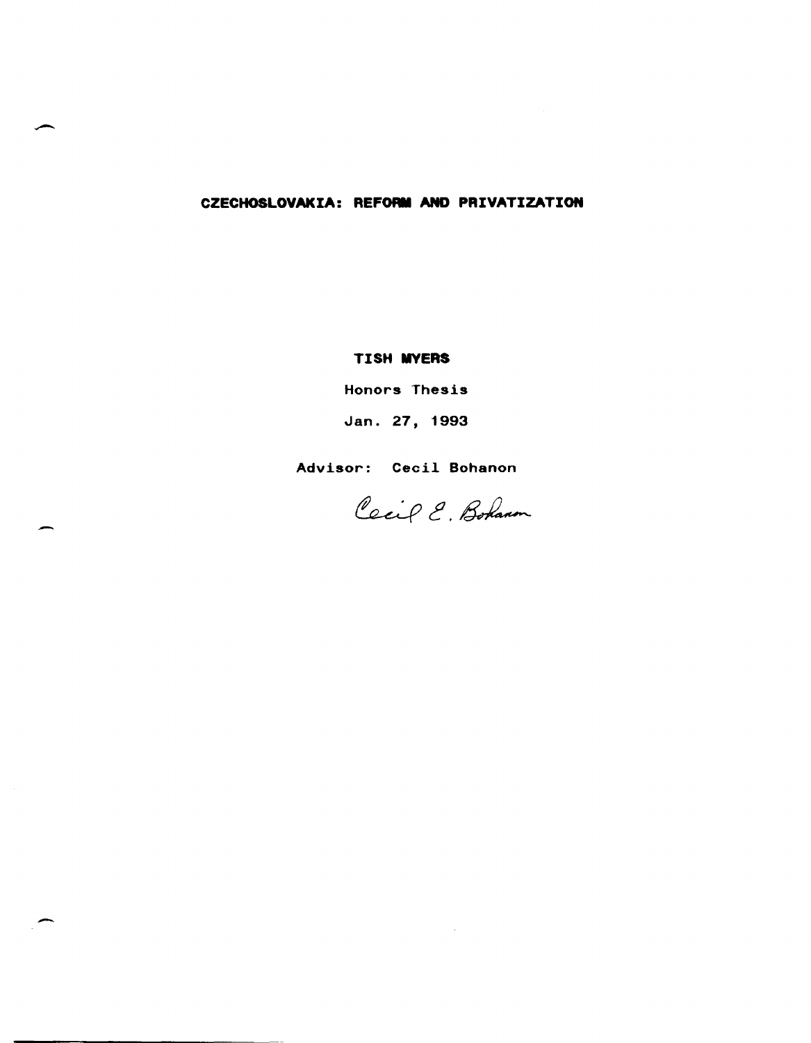# **CZECHOSLOVAKIA: REFORM AND PRIVATIZATION**

## **TISH MYERS**

Honors Thesis

Jan. 27, 1993

Advisor: Cecil Bohanon

-

-

Cecif E. Bohann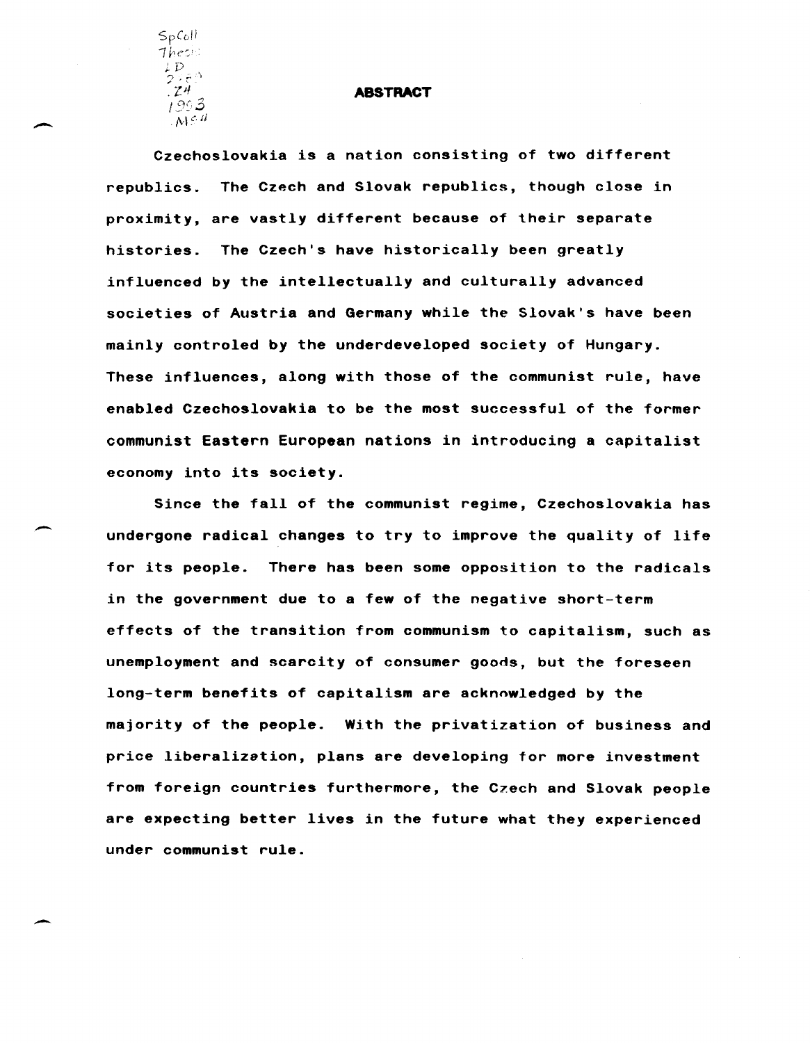SpCuil  $The$ ::  $L$   $D$  $2\times5$   $^{\circ}\!\!\!\!\phantom{1}^{\circ}\,$ *.lJ/*  l~y·3  $M \in \mathcal{U}$ 

 $\overline{\phantom{0}}$ 

-

-

#### **ABSTRACT**

Czechoslovakia is a nation consisting of two different republics. The Czech and Slovak republics, though close in proximity, are vastly different because of their separate histories. The Czech's have historically been greatly influenced by the intellectually and culturally advanced societies of Austria and Germany while the Slovak's have been mainly controled by the underdeveloped society of Hungary. These influences, along with those of the communist rule, have enabled Czechoslovakia to be the most successful of the former communist Eastern European nations in introducing a capitalist economy into its society.

Since the fall of the communist regime, Czechoslovakia has undergone radical changes to try to improve the quality of life for its people. There has been some opposition to the radicals in the government due to a few of the negative short-term effects of the transition from communism to capitalism, such as unemployment and scarcity of consumer goods, but the foreseen long-term benefits of capitalism are acknowledged by the majority of the people. With the privatization of business and price liberalization, plans are developing for more investment from foreign countries furthermore, the Czech and Slovak people are expecting better lives in the future what they experienced under communist rule.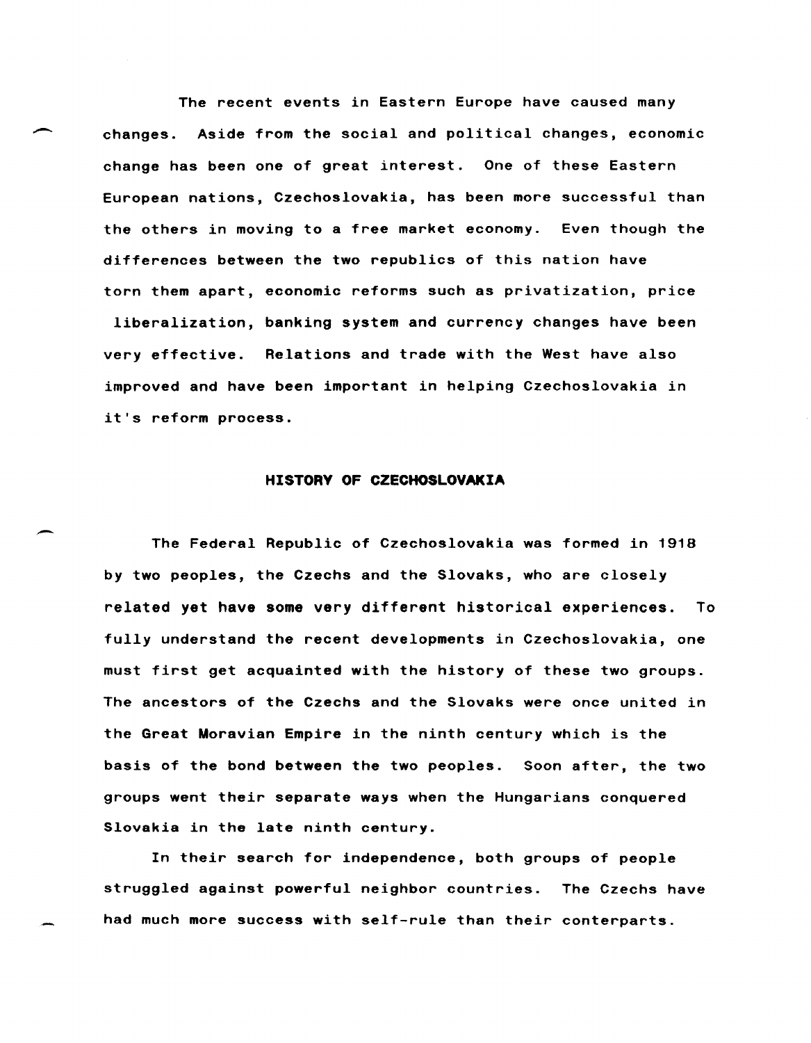The recent events in Eastern Europe have caused many<br>changes. Aside from the social and political changes, econom<br>changes. Aside from the social and political changes, econom changes. Aside from the social and political changes, economic change has been one of great interest. One of these Eastern European nations, Czechoslovakia, has been more successful than the others in moving to a free market economy. Even though the differences between the two republics of this nation have torn them apart, economic reforms such as privatization, price liberalization, banking system and currency changes have been very effective. Relations and trade with the West have also improved and have been important in helping Czechoslovakia in it's reform process.

### **HISTORY OF CZECHOSLOVAKIA**

The Federal Republic of Czechoslovakia was formed in 1918 by two peoples, the Czechs and the Slovaks, who are closely related yet have some very different historical experiences. To fully understand the recent developments in Czechoslovakia, one must first get acquainted with the history of these two groups. The ancestors of the Czechs and the Slovaks were once united in the Great Moravian Empire in the ninth century which is the basis of the bond between the two peoples. Soon after, the two groups went their separate ways when the Hungarians conquered Slovakia in the late ninth century.

In their search for independence, both groups of people struggled against powerful neighbor countries. The Czechs have had much more success with self-rule than their conterparts.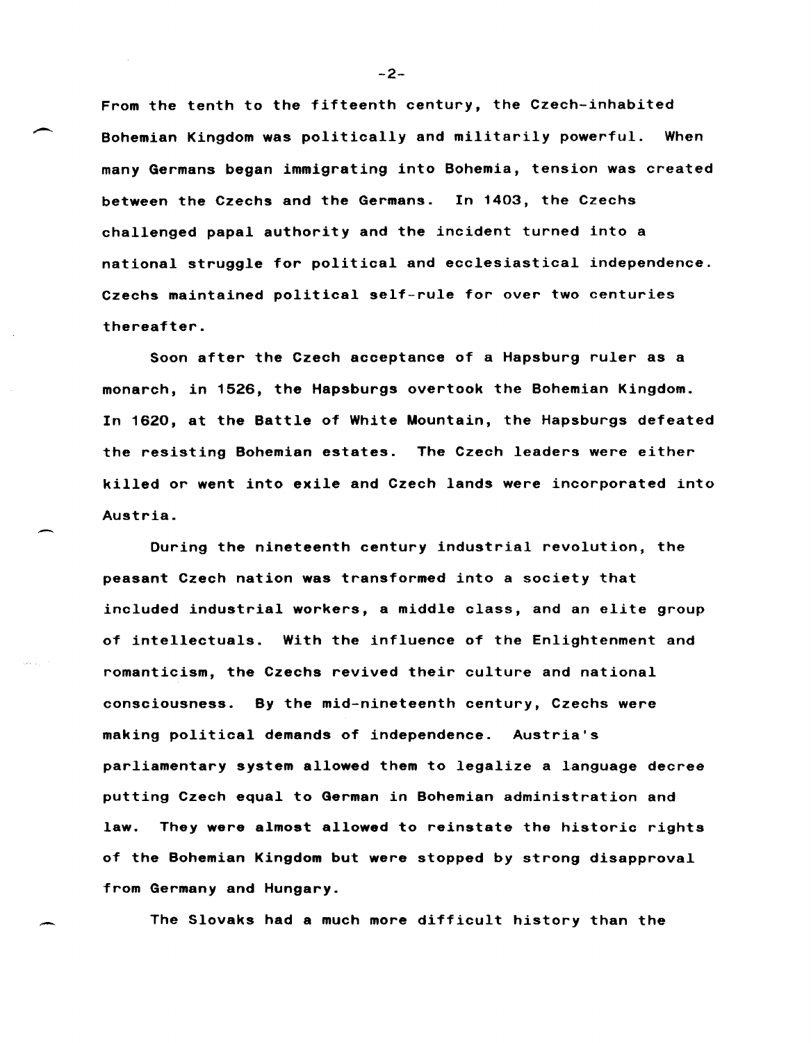From the tenth to the fifteenth century, the Czech-inhabited Bohemian Kingdom was politically and militarily powerful. When many Germans began immigrating into Bohemia, tension was created between the Czechs and the Germans. In 1403, the Czechs challenged papal authority and the incident turned into a national struggle for political and ecclesiastical independence. Czechs maintained political self-rule for over two centuries thereafter.

Soon after the Czech acceptance of a Hapsburg ruler as a monarch, in 1526, the Hapsburgs overtook the Bohemian Kingdom. In 1620, at the Battle of White Mountain, the Hapsburgs defeated the resisting Bohemian estates. The Czech leaders were either killed or went into exile and Czech lands were incorporated into Austria.

During the nineteenth century industrial revolution, the peasant Czech nation was transformed into a society that included industrial workers, a middle class, and an elite group of intellectuals. With the influence of the Enlightenment and romanticism, the Czechs revived their culture and national consciousness. By the mid-nineteenth century, Czechs were making political demands of independence. Austria's parliamentary system allowed them to legalize a language decree putting Czech equal to German in Bohemian administration and law. They were almost allowed to reinstate the historic rights of the Bohemian Kingdom but were stopped by strong disapproval from Germany and Hungary.

The Slovaks had a much more difficult history than the

-2-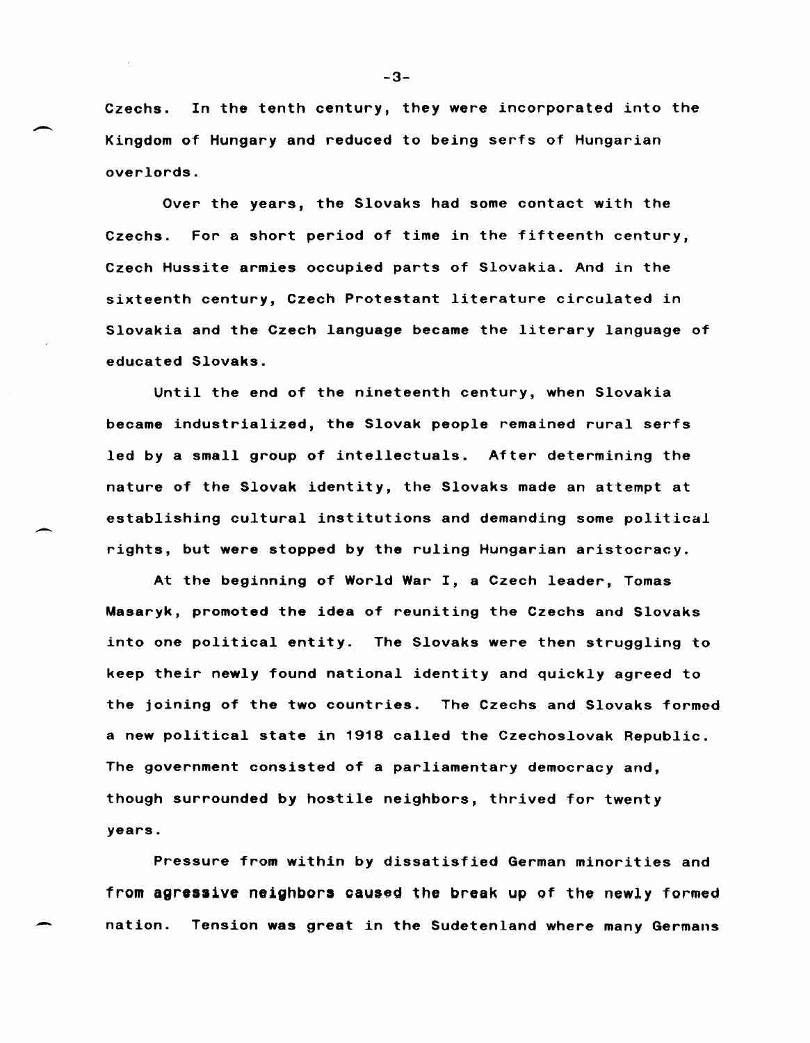Czechs. In the tenth century, they were incorporated into the Kingdom of Hungary and reduced to being serfs of Hungarian overlords.

Over the years, the Slovaks had some contact with the Czechs. For a short period of time in the fifteenth century, Czech Hussite armies occupied parts of Slovakia. And in the sixteenth century, Czech Protestant literature circulated in Slovakia and the Czech language became the literary language of educated Slovaks.

Until the end of the nineteenth century, when Slovakia became industrialized, the Slovak people remained rural serfs led by a small group of intellectuals. After determining the nature of the Slovak identity, the Slovaks made an attempt at establishing cultural institutions and demanding some political rights, but were stopped by the ruling Hungarian aristocracy.

At the beginning of World War I, a Czech leader, Tomas Masaryk, promoted the idea of reuniting the Czechs and Slovaks into one political entity. The Slovaks were then struggling to keep their newly found national identity and quickly agreed to the joining of the two countries. The Czechs and Slovaks formed a new political state in 1918 called the Czechoslovak Republic. The government consisted of a parliamentary democracy and, though surrounded by hostile neighbors, thrived for twenty years.

Pressure from within by dissatisfied German minorities and from agressive neighbors caused the break up of the newly formed nation. Tension was great in the Sudetenland where many Germans

-3-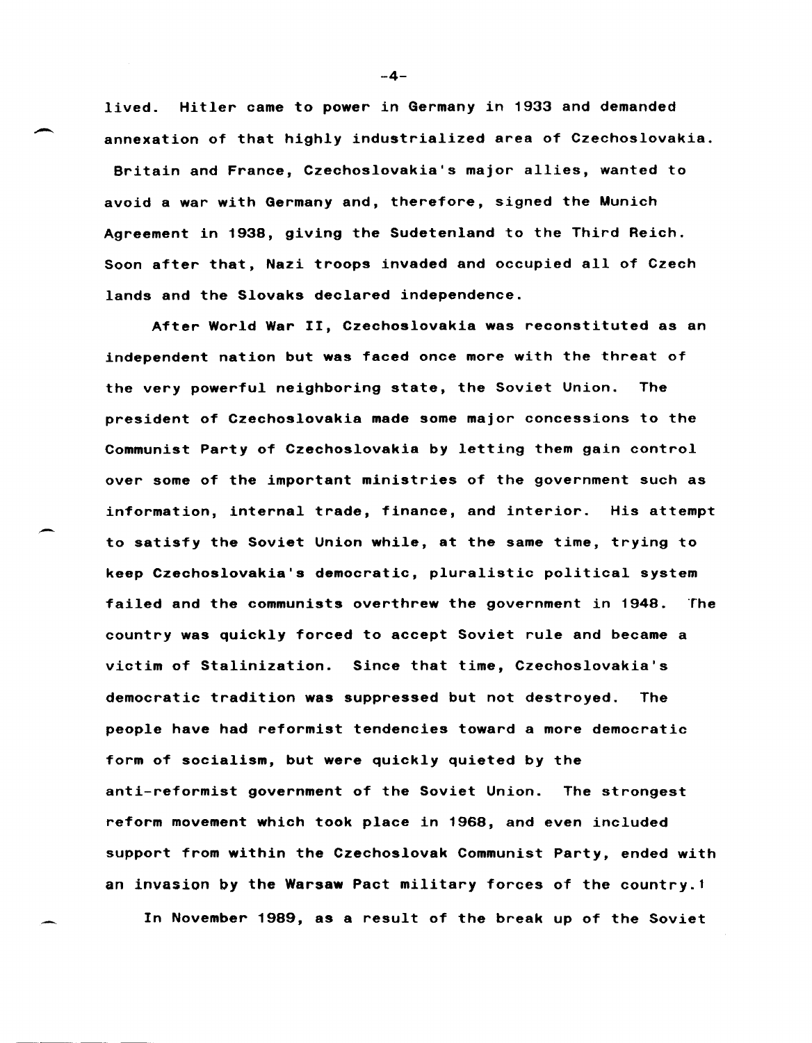lived. Hitler came to power in Germany in 1933 and demanded annexation of that highly industrialized area of Czechoslovakia. Britain and France, Czechoslovakia's major allies, wanted to avoid a war with Germany and, therefore, signed the Munich Agreement in 1938, giving the Sudetenland to the Third Reich. Soon after that, Nazi troops invaded and occupied all of Czech lands and the Slovaks declared independence.

After World War II, Czechoslovakia was reconstituted as an independent nation but was faced once more with the threat of the very powerful neighboring state, the Soviet Union. The president of Czechoslovakia made some major concessions to the Communist Party of Czechoslovakia by letting them gain control over some of the important ministries of the government such as information, internal trade, finance, and interior. His attempt to satisfy the Soviet Union while, at the same time, trying to keep Czechoslovakia's democratic, pluralistic political system failed and the communists overthrew the government in 1948. The country was quickly forced to accept Soviet rule and became a victim of Stalinization. Since that time, Czechoslovakia's democratic tradition was suppressed but not destroyed. The people have had reformist tendencies toward a more democratic form of socialism, but were quickly quieted by the anti-reformist government of the Soviet Union. The strongest reform movement which took place in 1968, and even included support from within the Czechoslovak Communist Party, ended with an invasion by the Warsaw Pact military forces of the country.1

In November 1989, as a result of the break up of the Soviet

-4-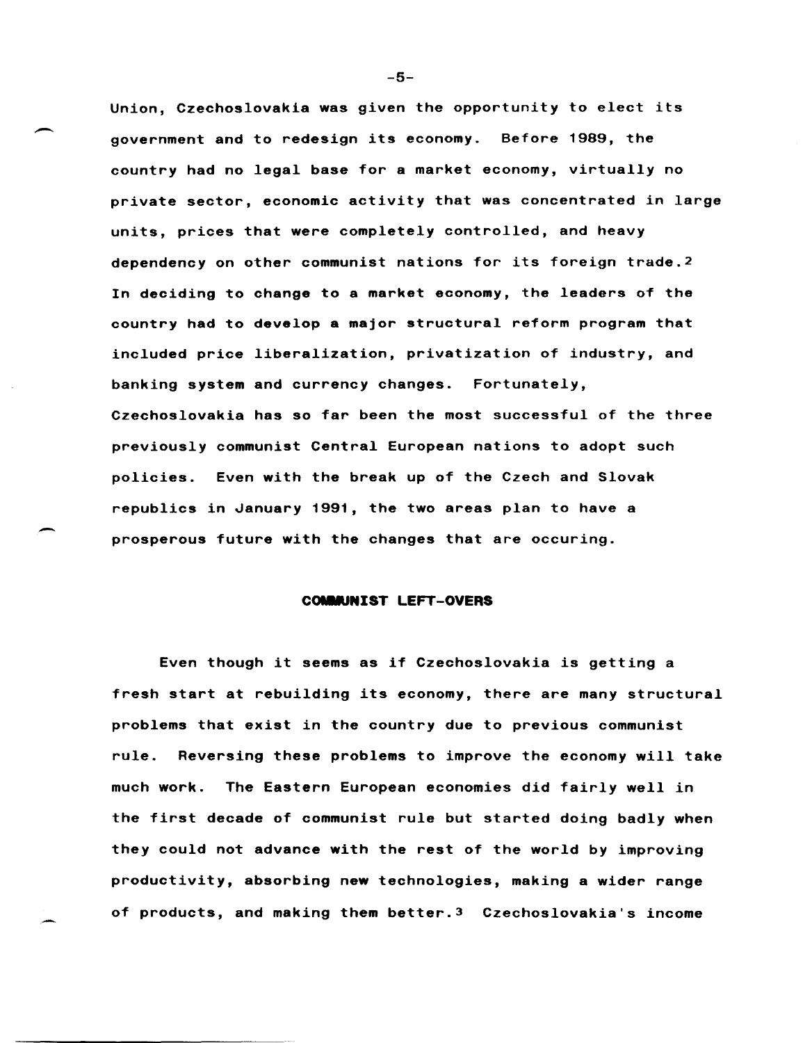Union, Czechoslovakia was given the opportunity to elect its government and to redesign its economy. Before 1989, the country had no legal base for a market economy, virtually no private sector, economic activity that was concentrated in large units, prices that were completely controlled, and heavy dependency on other communist nations for its foreign trade. <sup>2</sup> In deciding to change to a market economy, the leaders of the country had to develop a major structural reform program that included price liberalization, privatization of industry, and banking system and currency changes. Fortunately, Czechoslovakia has so far been the most successful of the three previously communist Central European nations to adopt such policies. Even with the break up of the Czech and Slovak republics in January 1991, the two areas plan to have a prosperous future with the changes that are occuring.

#### COMMUNIST LEFT-OVERS

~

Even though it seems as if Czechoslovakia is getting a fresh start at rebuilding its economy, there are many structural problems that exist in the country due to previous communist rule. Reversing these problems to improve the economy will take much work. The Eastern European economies did fairly well in the first decade of communist rule but started doing badly when they could not advance with the rest of the world by improving productivity, absorbing new technologies, making a wider range of products, and making them better.3 Czechoslovakia's income

-5-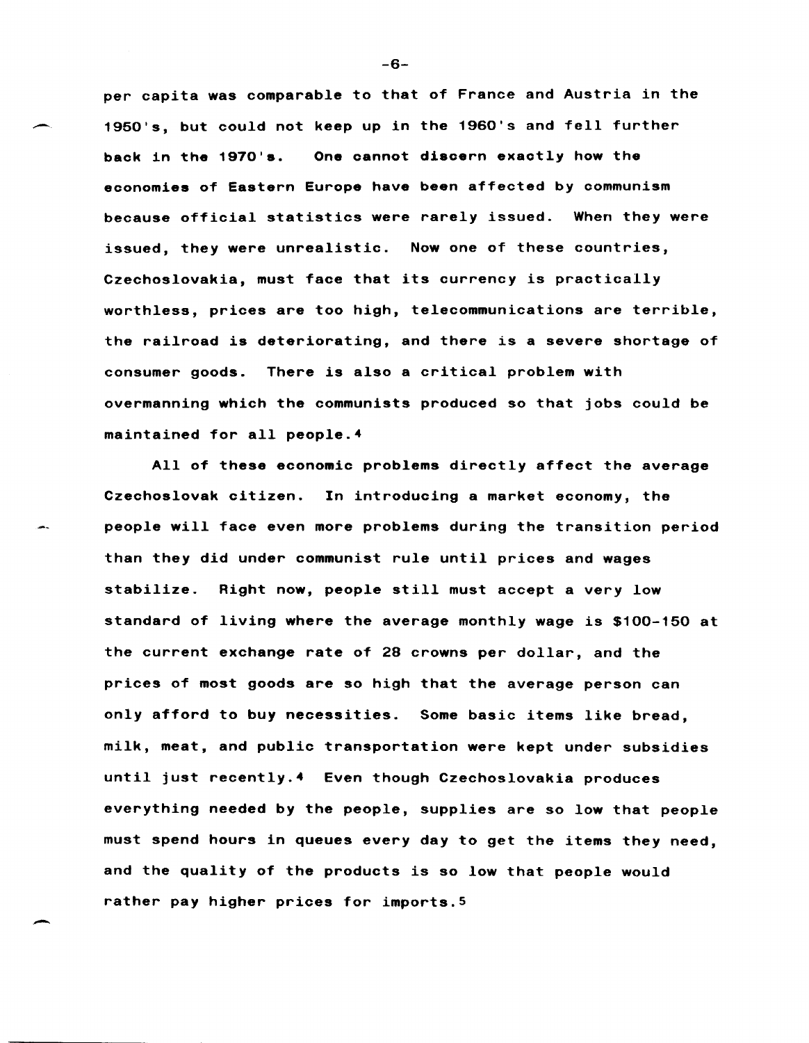per capita was comparable to that of France and Austria in the 1950's, but could not keep up in the 1960's and fell further back in the 1970's. One cannot discern exactly how the economies of Eastern Europe have been affected by communism because official statistics were rarely issued. When they were issued, they were unrealistic. Now one of these countries, Czechoslovakia, must face that its currency is practically worthless, prices are too high, telecommunications are terrible, the railroad is deteriorating, and there is a severe shortage of consumer goods. There is also a critical problem with overmanning which the communists produced so that jobs could be maintained for all people. <sup>4</sup>

All of these economic problems directly affect the average Czechoslovak citizen. In introducing a market economy, the people will face even more problems during the transition period than they did under communist rule until prices and wages stabilize. Right now, people still must accept a very low standard of living where the average monthly wage is \$100-150 at the current exchange rate of 28 crowns per dollar, and the prices of most goods are so high that the average person can only afford to buy necessities. Some basic items like bread, milk, meat, and public transportation were kept under subsidies until just recently.4 Even though Czechoslovakia produces everything needed by the people, supplies are so low that people must spend hours in queues every day to get the items they need, and the quality of the products is so low that people would rather pay higher prices for imports.5

-6-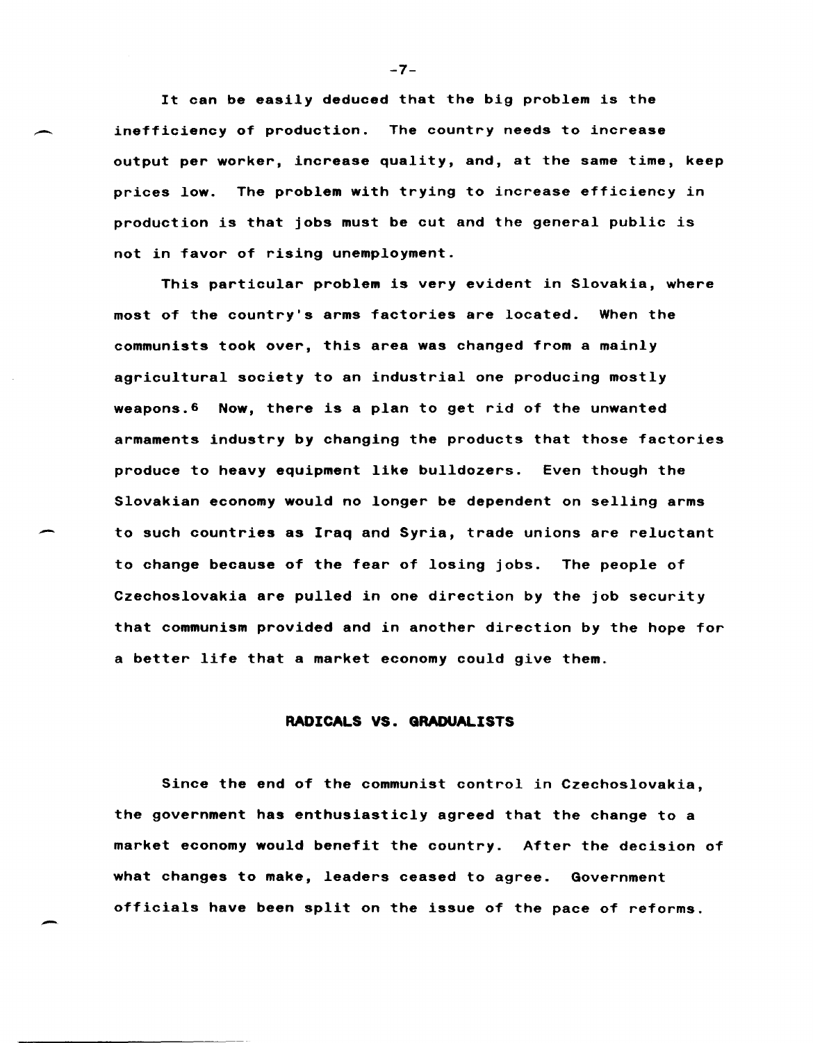It can be easily deduced that the big problem is the inefficiency of production. The country needs to increase output per worker, increase quality, and, at the same time, keep prices low. The problem with trying to increase efficiency in production is that jobs must be cut and the general public is not in favor of rising unemployment.

This particular problem is very evident in Slovakia, where most of the country's arms factories are located. When the communists took over, this area was changed from a mainly agricultural society to an industrial one producing mostly weapons. 6 Now, there is a plan to get rid of the unwanted armaments industry by changing the products that those factories produce to heavy equipment like bulldozers. Even though the Slovakian economy would no longer be dependent on selling arms to such countries as Iraq and Syria, trade unions are reluctant to change because of the fear of losing jobs. The people of Czechoslovakia are pulled in one direction by the job security that communism provided and in another direction by the hope for a better life that a market economy could give them.

### **RADICALS** VS. **GRADUALISTS**

Since the end of the communist control in Czechoslovakia, the government has enthusiasticly agreed that the change to a market economy would benefit the country. After the decision of what changes to make, leaders ceased to agree. Government officials have been split on the issue of the pace of reforms.

-7-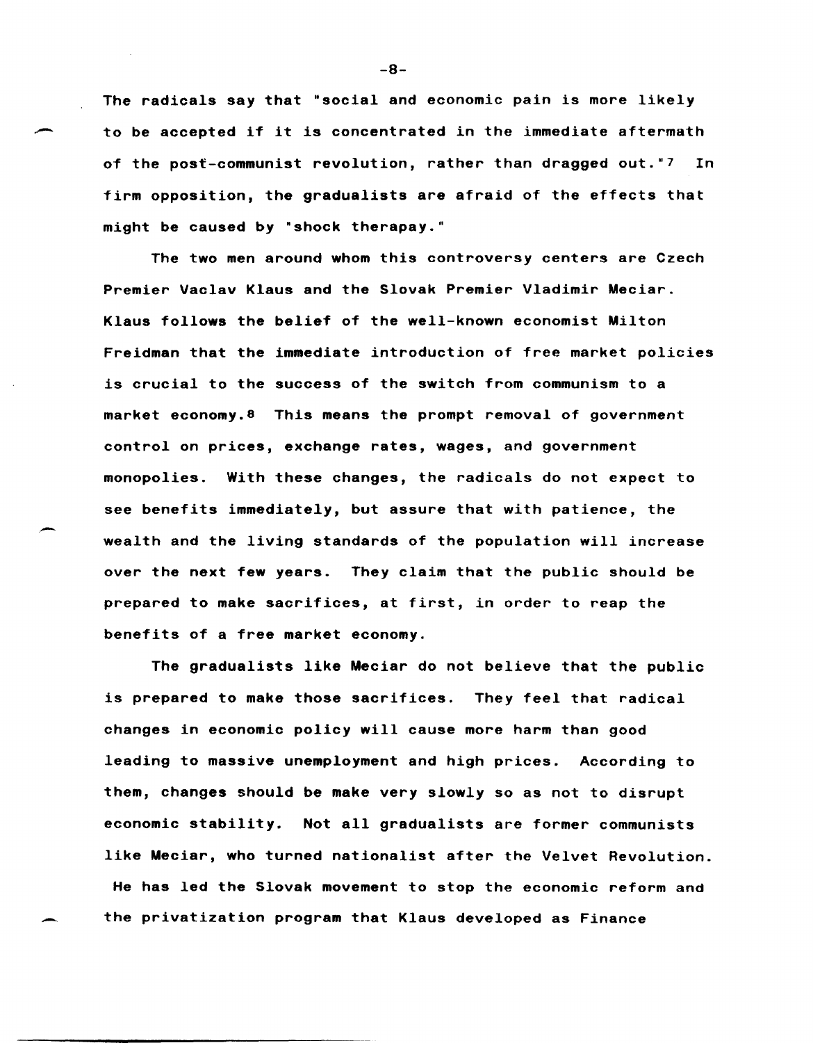The radicals say that "social and economic pain is more likely to be accepted if it is concentrated in the immediate aftermath of the post-communist revolution, rather than dragged out."7 In firm opposition, the gradualists are afraid of the effects that might be caused by "shock therapay."

The two men around whom this controversy centers are Czech Premier Vaclav Klaus and the Slovak Premier Vladimir Meciar. Klaus follows the belief of the well-known economist Milton Freidman that the immediate introduction of free market policies is crucial to the success of the switch from communism to a market economy.8 This means the prompt removal of government control on prices, exchange rates, wages, and government monopolies. With these changes, the radicals do not expect to see benefits immediately, but assure that with patience, the wealth and the living standards of the population will increase over the next few years. They claim that the public should be prepared to make sacrifices, at first, in order to reap the benefits of a free market economy.

The gradualists like Meciar do not believe that the public is prepared to make those sacrifices. They feel that radical changes in economic policy will cause more harm than good leading to massive unemployment and high prices. According to them, changes should be make very slowly so as not to disrupt economic stability. Not all gradualists are former communists like Meciar, who turned nationalist after the Velvet Revolution. He has led the Slovak movement to stop the economic reform and the privatization program that Klaus developed as Finance

-8-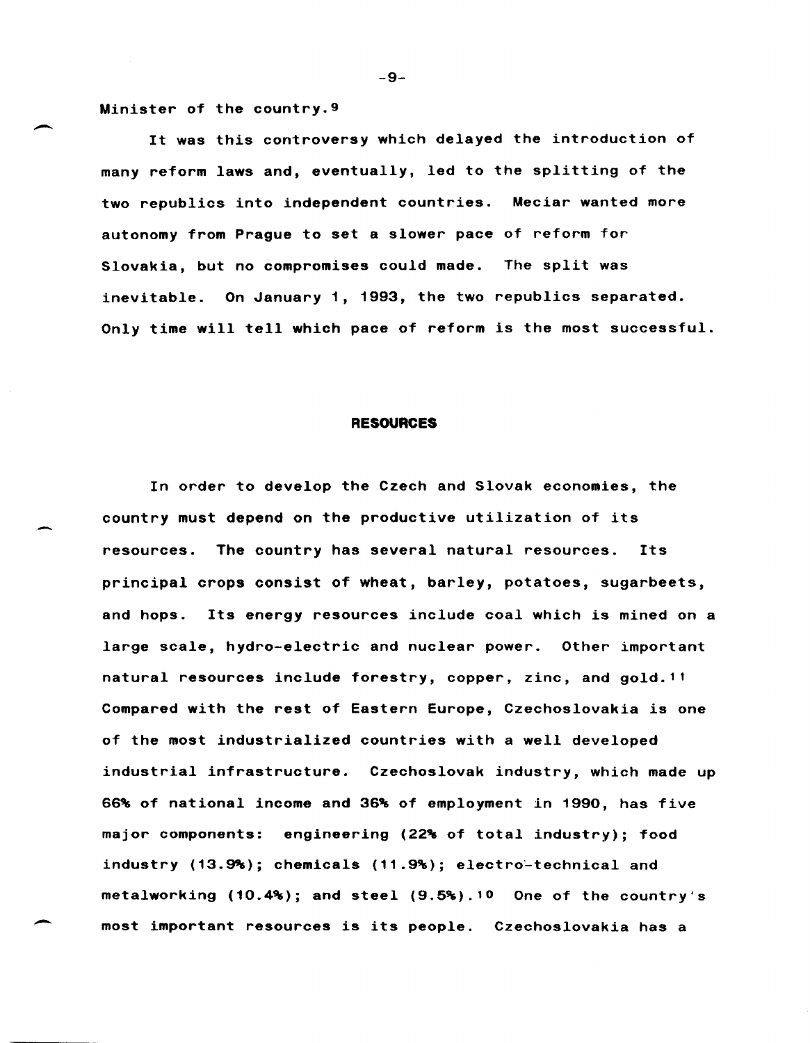Minister of the country.9

 $\overline{\phantom{a}}$ 

-

It was this controversy which delayed the introduction of many reform laws and, eventually, led to the splitting of the two republics into independent countries. Meciar wanted more autonomy from Prague to set a slower pace of reform for Slovakia, but no compromises could made. The split was inevitable. On January 1, 1993, the two republics separated. Only time will tell which pace of reform is the most successful.

#### **RESOURCES**

In order to develop the Czech and Slovak economies, the country must depend on the productive utilization of its resources. The country has several natural resources. Its principal crops consist of wheat, barley, potatoes, sugarbeets, and hops. Its energy resources include coal which is mined on a large scale, hydro-electric and nuclear power. Other important natural resources include forestry, copper, zinc, and gold. <sup>11</sup> Compared with the rest of Eastern Europe, Czechoslovakia is one of the most industrialized countries with a well developed industrial infrastructure. Czechoslovak industry, which made up 66% of national income and 36% of employment in 1990, has five major components: engineering (22% of total industry); food industry (13.9%); chemicals (11.9%); electro-technical and metalworking (10.4%); and steel (9.5%).10 One of the country's most important resources is its people. Czechoslovakia has a

-9-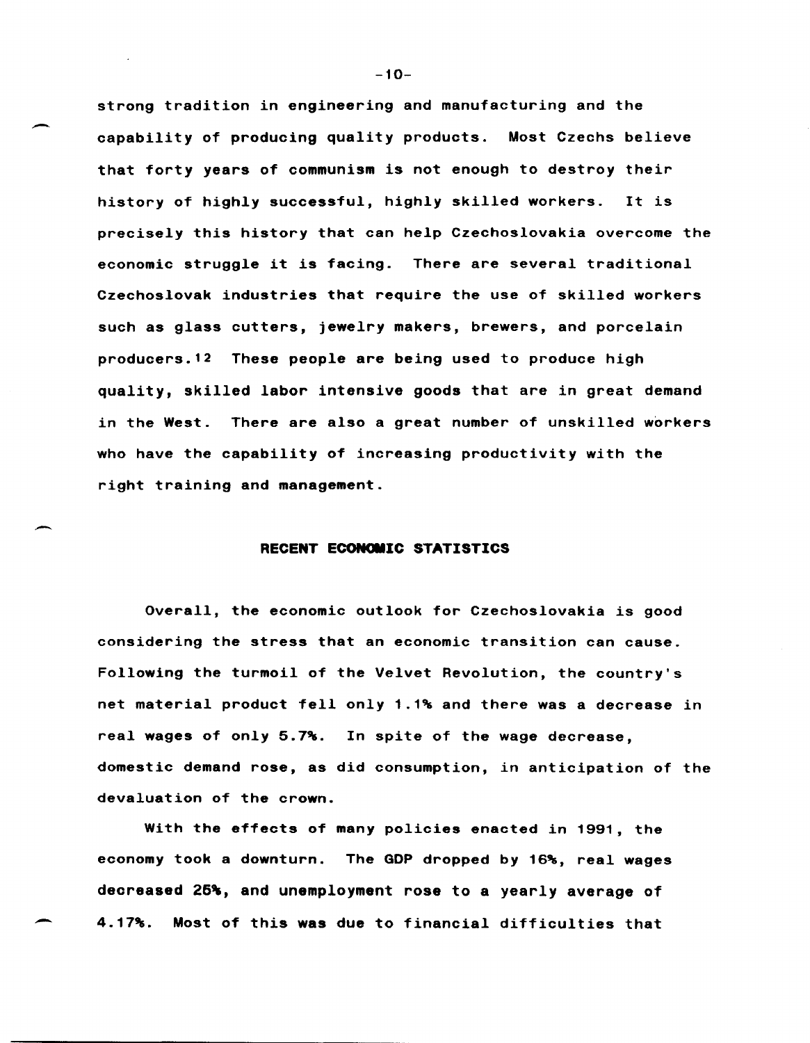strong tradition in engineering and manufacturing and the capability of producing quality products. Most Czechs believe that forty years of communism is not enough to destroy their history of highly successful, highly skilled workers. It is precisely this history that can help Czechoslovakia overcome the economic struggle it is facing. There are several traditional Czechoslovak industries that require the use of skilled workers such as glass cutters, jewelry makers, brewers, and porcelain producers. 12 These people are being used to produce high quality, skilled labor intensive goods that are in great demand in the West. There are also a great number of unskilled workers who have the capability of increasing productivity with the right training and management.

### **RECENT ECONOMIC STATISTICS**

Overall, the economic outlook for Czechoslovakia is good considering the stress that an economic transition can cause. Following the turmoil of the Velvet Revolution, the country's net material product fell only 1.1% and there was a decrease in real wages of only 5.7%. In spite of the wage decrease, domestic demand rose, as did consumption, in anticipation of the devaluation of the crown.

With the effects of many policies enacted in 1991, the economy took a downturn. The GOP dropped by 16%, real wages decreased 25%, and unemployment rose to a yearly average of ~ 4.17%. Most of this was due to financial difficulties that

 $-10-$ 

~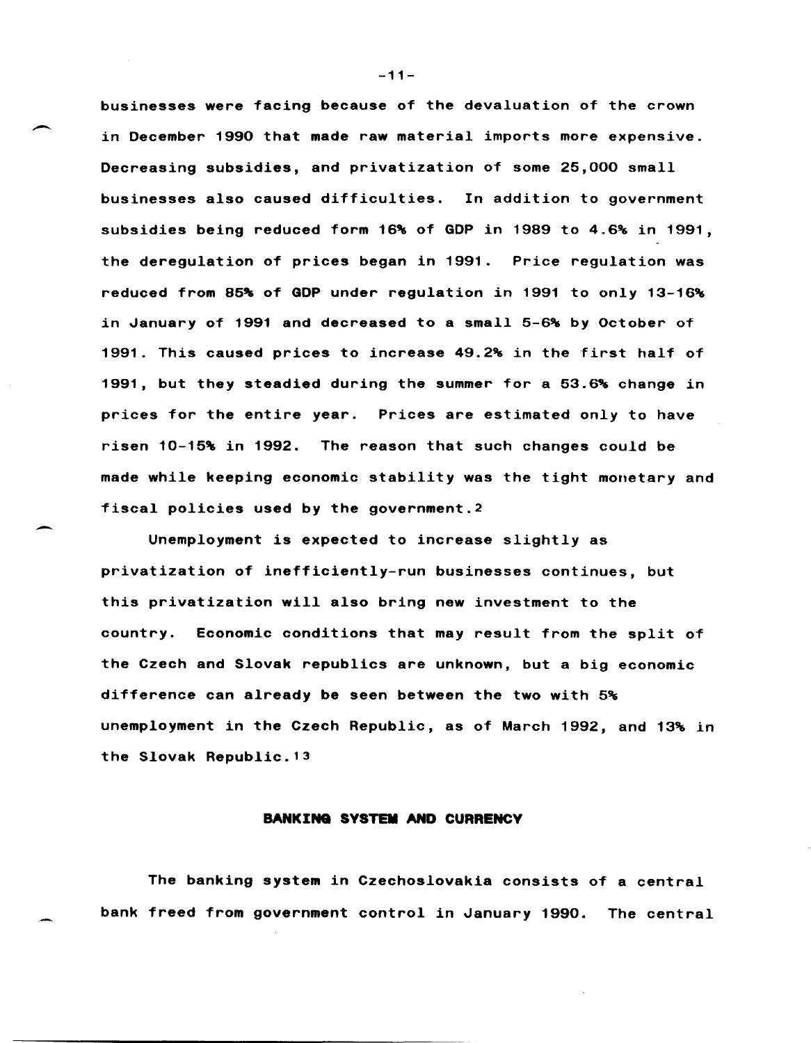businesses were facing because of the devaluation of the crown in December 1990 that made raw material imports more expensive. Decreasing subsidies, and privatization of some 25,000 small businesses also caused difficulties. In addition to government subsidies being reduced form 16% of GOP in 1989 to 4.6% in 1991, the deregulation of prices began in 1991. Price regulation was reduced from 85% of GOP under regulation in 1991 to only 13-16% in January of 1991 and decreased to a small  $5-6$ % by October of 1991. This caused prices to increase 49.2% in the first half of 1991, but they steadied during the summer for a 53.6% change in prices for the entire year. Prices are estimated only to have risen 10-15% in 1992. The reason that such changes could be made while keeping economic stability was the tight monetary and fiscal policies used by the government. <sup>2</sup>

Unemployment is expected to increase slightly as privatization of inefficiently-run businesses continues, but this privatization will also bring new investment to the country. Economic conditions that may result from the split of the Czech and Slovak republics are unknown, but a big economic difference can already be seen between the two with 5% unemployment in the Czech Republic, as of March 1992, and 13% in the Slovak Republic. <sup>13</sup>

### **BANKINa SYSTEM AND CURRENCY**

The banking system in Czechoslovakia consists of a central bank freed from government control in January 1990. The central

-11-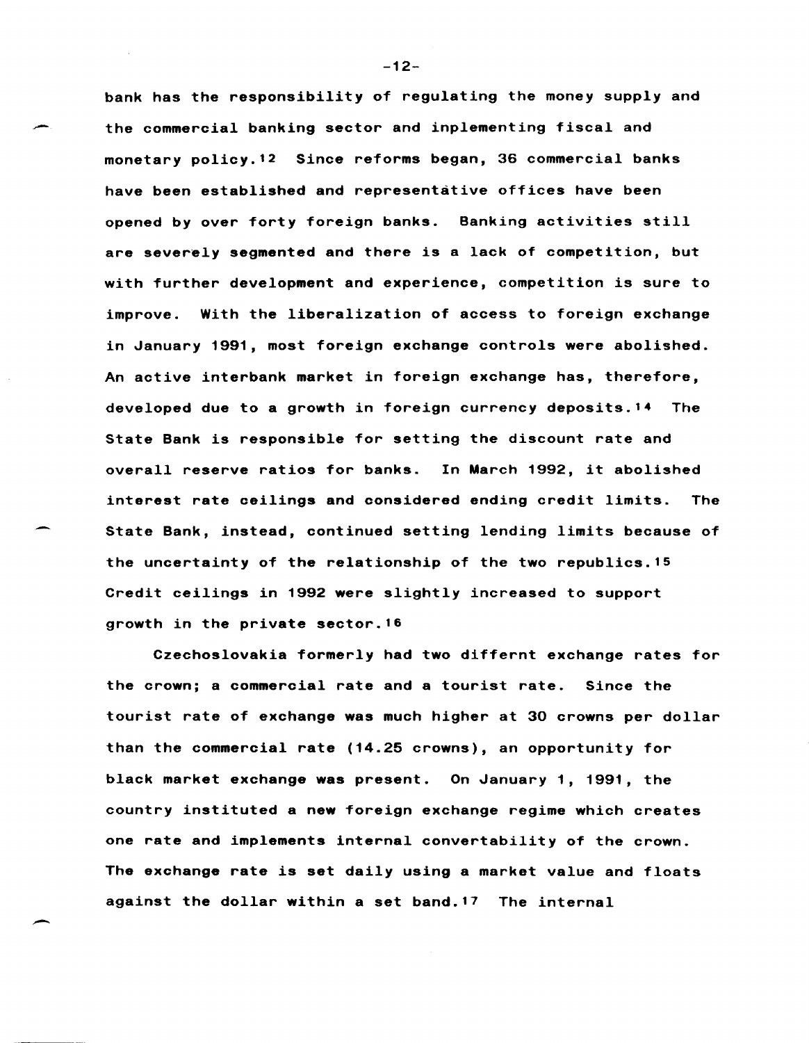bank has the responsibility of regulating the money supply and the commercial banking sector and inplementing fiscal and monetary policy.12 Since reforms began, 36 commercial banks have been established and representative offices have been opened by over forty foreign banks. Banking activities still are severely segmented and there is a lack of competition, but with further development and experience, competition is sure to improve. With the liberalization of access to foreign exchange in January 1991, most foreign exchange controls were abolished. An active interbank market in foreign exchange has, therefore, developed due to a growth in foreign currency deposits. 14 The State Bank is responsible for setting the discount rate and overall reserve ratios for banks. In March 1992, it abolished interest rate ceilings and considered ending credit limits. The State Bank, instead, continued setting lending limits because of the uncertainty of the relationship of the two republics. 15 Credit ceilings in 1992 were slightly increased to support growth in the private sector.16

Czechoslovakia formerly had two differnt exchange rates for the crown; a commercial rate and a tourist rate. Since the tourist rate of exchange was much higher at 30 crowns per dollar than the commercial rate (14.25 crowns), an opportunity for black market exchange was present. On January 1, 1991, the country instituted a new foreign exchange regime which creates one rate and implements internal convertability of the crown. The exchange rate is set daily using a market value and floats against the dollar within a set band.17 The internal

-12-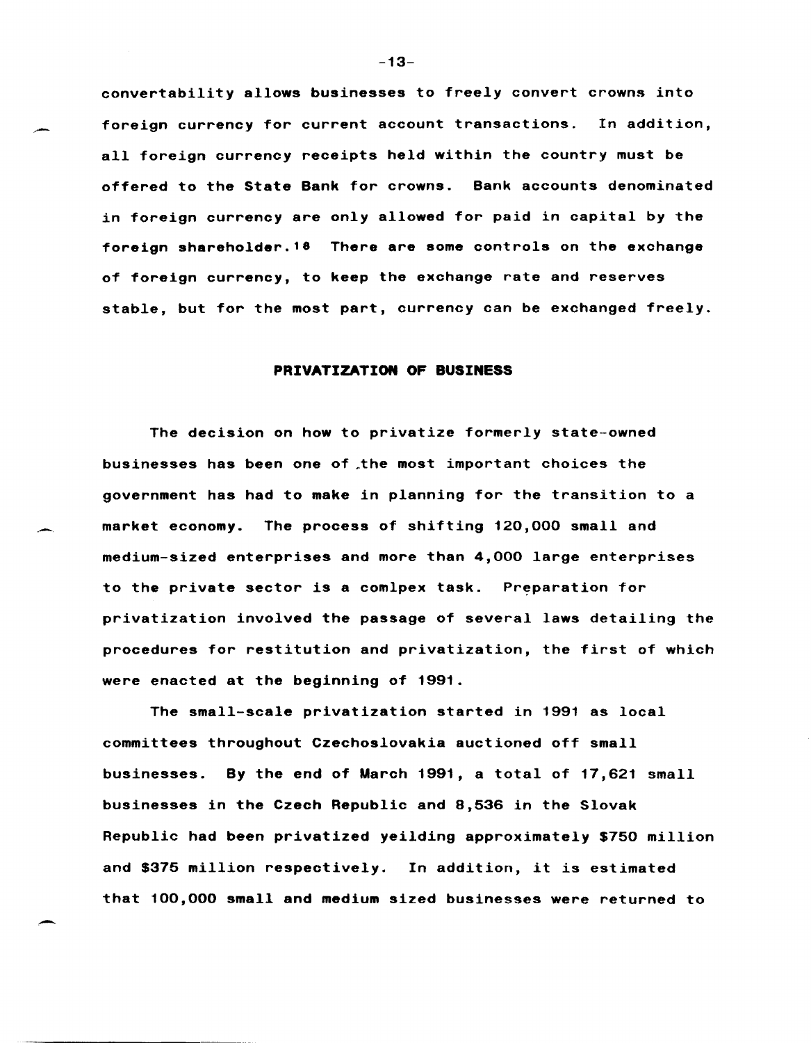convertability allows businesses to freely convert crowns into foreign currency for current account transactions. In addition, all foreign currency receipts held within the country must be offered to the State Bank for crowns. Bank accounts denominated in foreign currency are only allowed for paid in capital by the foreign shareholder. 18 There are some controls on the exchange of foreign currency, to keep the exchange rate and reserves stable, but for the most part, currency can be exchanged freely.

#### **PRIVATIZATION OF BUSINESS**

The decision on how to privatize formerly state-owned businesses has been one of the most important choices the government has had to make in planning for the transition to a market economy. The process of shifting 120,000 small and medium-sized enterprises and more than 4,000 large enterprises to the private sector is a comlpex task. Preparation for privatization involved the passage of several laws detailing the procedures for restitution and privatization, the first of which were enacted at the beginning of 1991.

.-.

-

The small-scale privatization started in 1991 as local committees throughout Czechoslovakia auctioned off small businesses. By the end of March 1991, a total of 17,621 small businesses in the Czech Republic and 8,536 in the Slovak Republic had been privatized yeilding approximately \$750 million and \$375 million respectively. In addition, it is estimated that 100,000 small and medium sized businesses were returned to

 $-13-$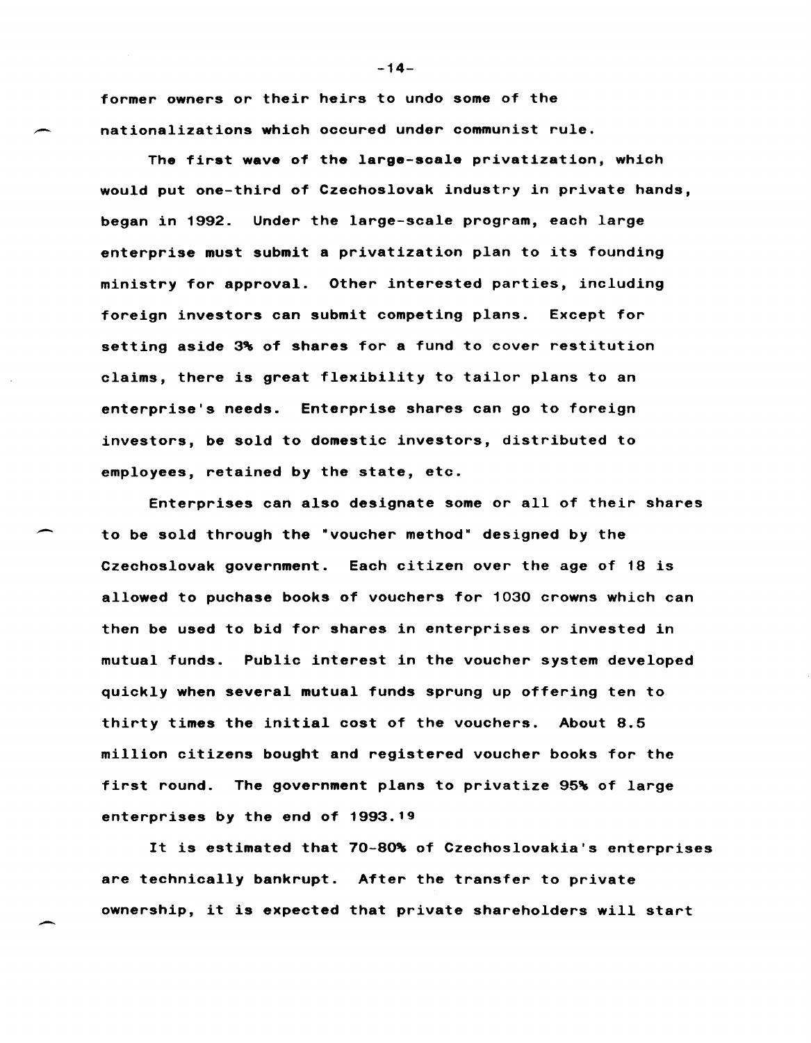former owners or their heirs to undo some of the nationalizations which occured under communist rule.

The first wave of the large-scale privatization, which would put one-third of Czechoslovak industry in private hands, began in 1992. Under the large-scale program, each large enterprise must submit a privatization plan to its founding ministry for approval. Other interested parties, including foreign investors can submit competing plans. Except for setting aside 3% of shares for a fund to cover restitution claims, there is great flexibility to tailor plans to an enterprise's needs. Enterprise shares can go to foreign investors, be sold to domestic investors, distributed to employees, retained by the state, etc.

Enterprises can also designate some or all of their shares to be sold through the "voucher method" designed by the Czechoslovak government. Each citizen over the age of 18 is allowed to puchase books of vouchers for 1030 crowns which can then be used to bid for shares in enterprises or invested in mutual funds. Public interest in the voucher system developed quickly when several mutual funds sprung up offering ten to thirty times the initial cost of the vouchers. About 8.5 million citizens bought and registered voucher books for the first round. The government plans to privatize 95% of large enterprises by the end of 1993.19

It is estimated that 70-80% of Czechoslovakia's enterprises are technically bankrupt. After the transfer to private ownership, it is expected that private shareholders will start

 $-14-$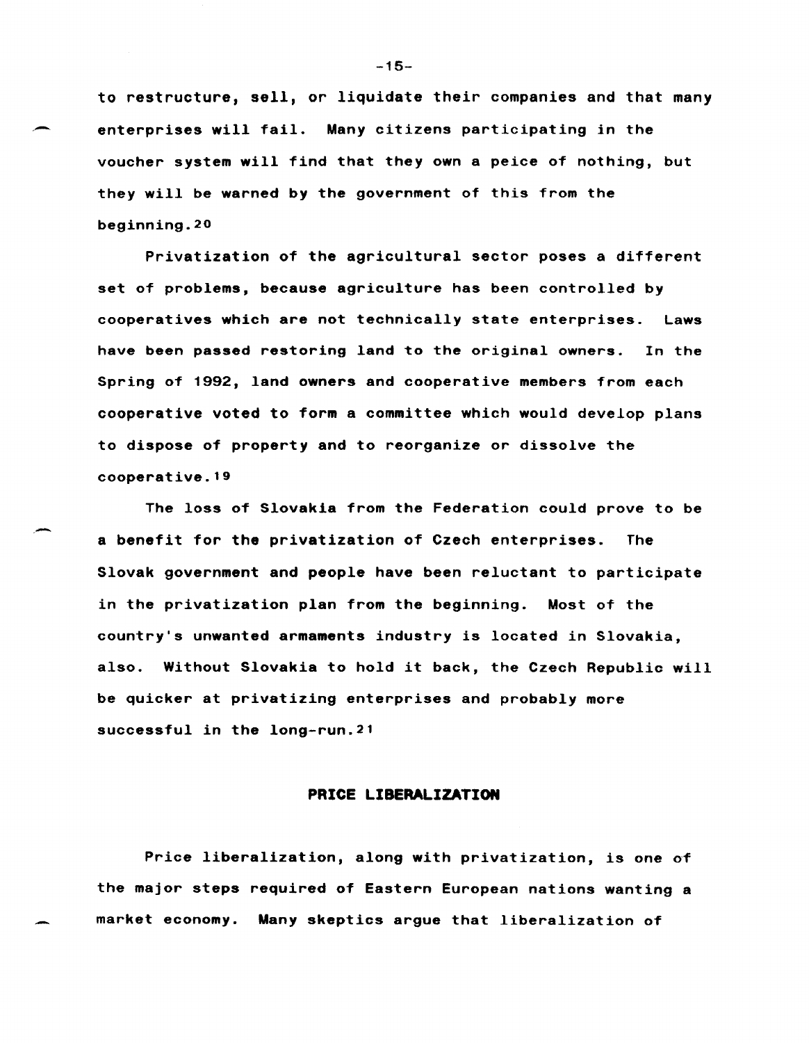to restructure, sell, or liquidate their companies and that many enterprises will fail. Many citizens participating in the voucher system will find that they own a peice of nothing, but they will be warned by the government of this from the beginning. 20

Privatization of the agricultural sector poses a different set of problems, because agriculture has been controlled by cooperatives which are not technically state enterprises. Laws have been passed restoring land to the original owners. In the Spring of 1992, land owners and cooperative members from each cooperative voted to form a committee which would develop plans to dispose of property and to reorganize or dissolve the cooperative. <sup>19</sup>

The loss of Slovakia from the Federation could prove to be a benefit for the privatization of Czech enterprises. The Slovak government and people have been reluctant to participate in the privatization plan from the beginning. Most of the country's unwanted armaments industry is located in Slovakia, also. Without Slovakia to hold it back, the Czech Republic will be quicker at privatizing enterprises and probably more successful in the 10ng-run. <sup>21</sup>

--

### **PRICE LIBERALIZATION**

Price liberalization, along with privatization, is one of the major steps required of Eastern European nations wanting a market economy. Many skeptics argue that liberalization of

-15-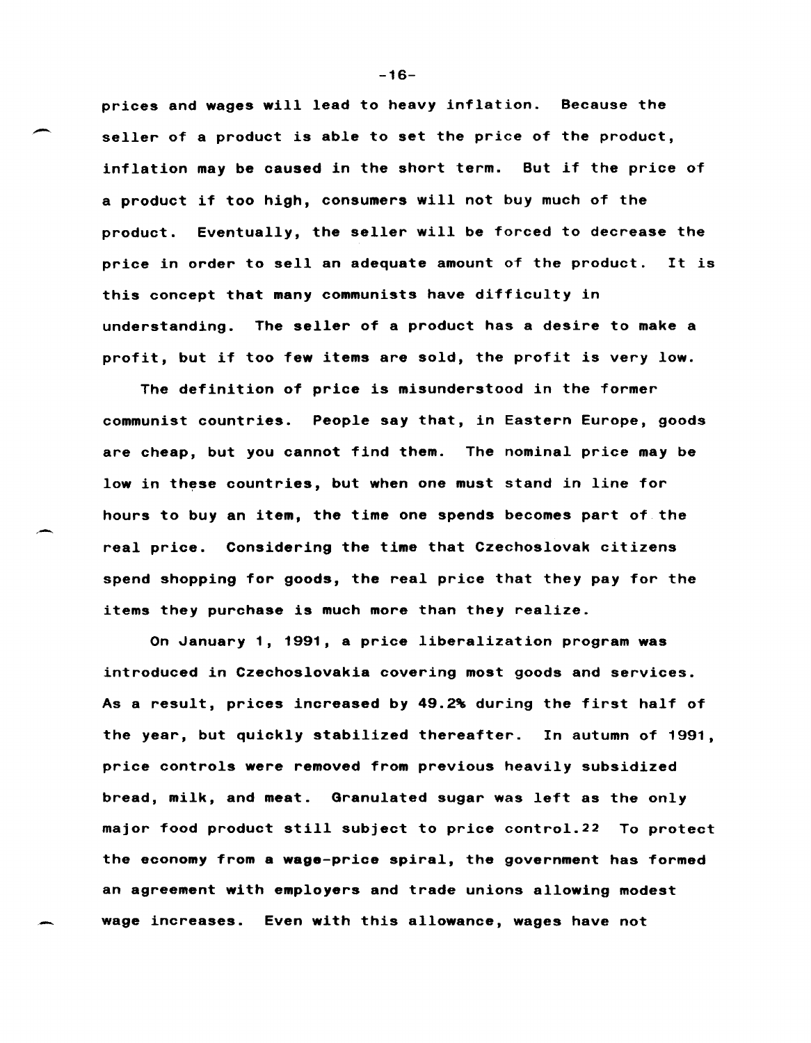prices and wages will lead to heavy inflation. Because the seller of a product is able to set the price of the product, inflation may be caused in the short term. But if the price of a product if too high, consumers will not buy much of the product. Eventually, the seller will be forced to decrease the price in order to sell an adequate amount of the product. It is this concept that many communists have difficulty in understanding. The seller of a product has a desire to make a profit, but if too few items are sold, the profit is very low.

The definition of price is misunderstood in the former communist countries. People say that, in Eastern Europe, goods are cheap, but you cannot find them. The nominal price may be low in these countries, but when one must stand in line for hours to buy an item, the time one spends becomes part of the real price. Considering the time that Czechoslovak citizens spend shopping for goods, the real price that they pay for the items they purchase is much more than they realize.

On January 1, 1991, a price liberalization program was introduced in Czechoslovakia covering most goods and services. As a result, prices increased by 49.2% during the first half of the year, but quickly stabilized thereafter. In autumn of 1991, price controls were removed from previous heavily subsidized bread, milk, and meat. Granulated sugar was left as the only major food product still subject to price control.22 To protect the economy from a wage-price spiral, the government has formed an agreement with employers and trade unions allowing modest wage increases. Even with this allowance, wages have not

-16-

--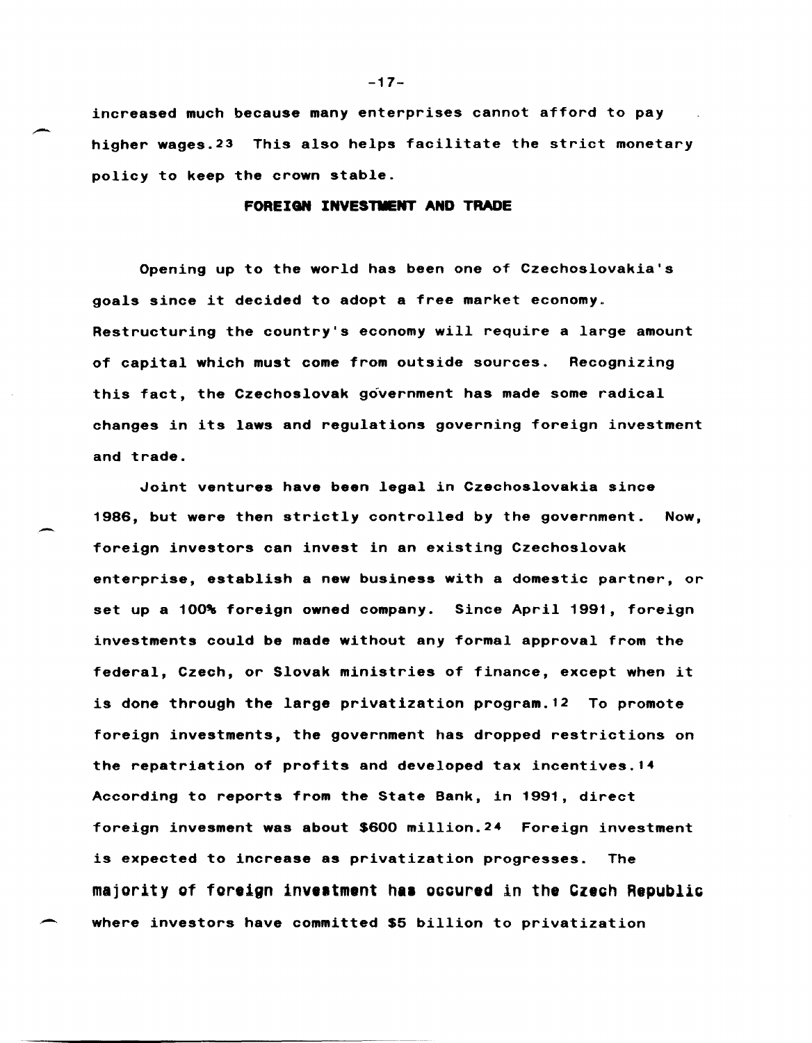increased much because many enterprises cannot afford to pay higher wages. 23 This also helps facilitate the strict monetary policy to keep the crown stable.

### FOREIGN INVESTMENT AND TRADE

Opening up to the world has been one of Czechoslovakia's goals since it decided to adopt a free market economy\_ Restructuring the country's economy will require a large amount of capital which must come from outside sources. Recognizing this fact, the Czechoslovak government has made some radical changes in its laws and regulations governing foreign investment and trade.

Joint ventures have been legal in Czechoslovakia since 1986, but were then strictly controlled by the government. Now, foreign investors can invest in an existing Czechoslovak enterprise, establish a new business with a domestic partner, or set up a 100% foreign owned company. Since April 1991, foreign investments could be made without any formal approval from the federal, Czech, or Slovak ministries of finance, except when it is done through the large privatization program. 12 To promote foreign investments, the government has dropped restrictions on the repatriation of profits and developed tax incentives.14 According to reports from the State Bank, in 1991, direct foreign invesment was about \$600 million.24 Foreign investment is expected to increase as privatization progresses. The majority of foreign investment has occured in the Czech Republic where investors have committed \$5 billion to privatization

 $-17-$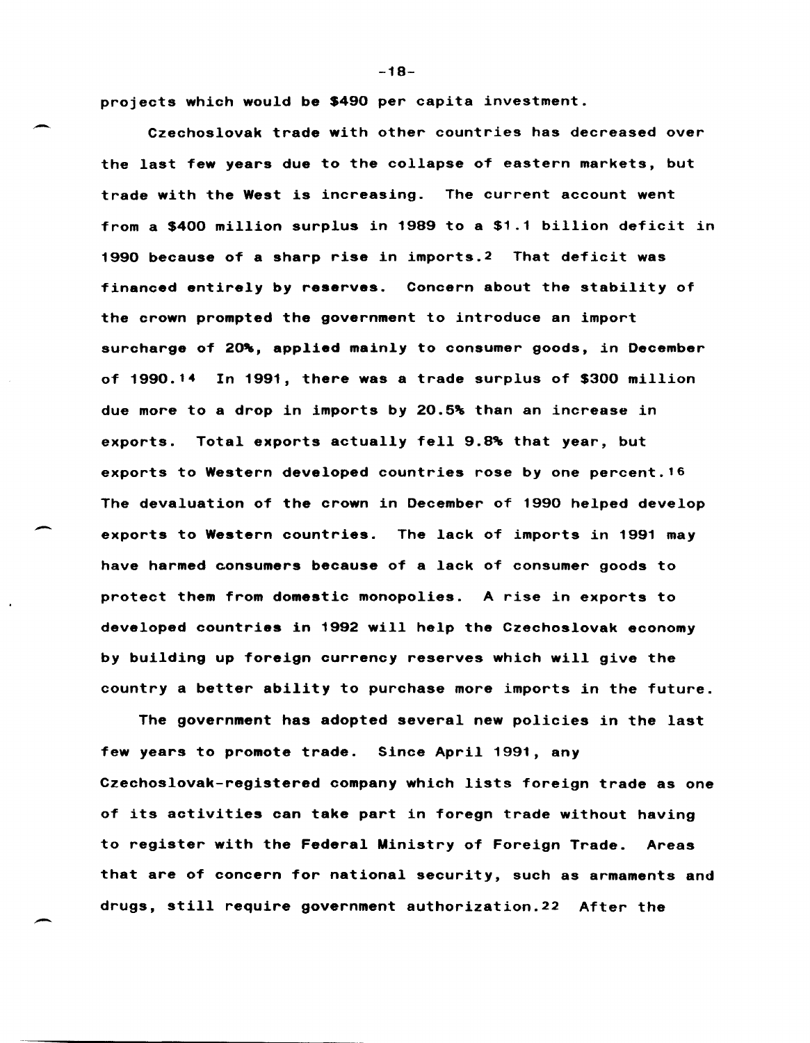projects which would be \$490 per capita investment.

-

 $\overline{\phantom{0}}$ 

Czechoslovak trade with other countries has decreased over the last few years due to the collapse of eastern markets, but trade with the West is increasing. The current account went from a \$400 million surplus in 1989 to a \$1.1 billion deficit in 1990 because of a sharp rise in imports. 2 That deficit was financed entirely by reserves. Concern about the stability of the crown prompted the government to introduce an import surcharge of 20%, applied mainly to consumer goods, in December of 1990.14 In 1991, there was a trade surplus of \$300 million due more to a drop in imports by 20.5% than an increase in exports. Total exports actually fell 9.8% that year, but exports to Western developed countries rose by one percent. <sup>16</sup> The devaluation of the crown in December of 1990 helped develop exports to Western countries. The lack of imports in 1991 may have harmed consumers because of a lack of consumer goods to protect them from domestic monopolies. A rise in exports to developed countries in 1992 will help the Czechoslovak economy by building up foreign currency reserves which will give the country a better ability to purchase more imports in the future.

The government has adopted several new policies in the last few years to promote trade. Since April 1991, any Czechoslovak-registered company which lists foreign trade as one of its activities can take part in foregn trade without having to register with the Federal Ministry of Foreign Trade. Areas that are of concern for national security, such as armaments and drugs, still require government authorization.22 After the

-18-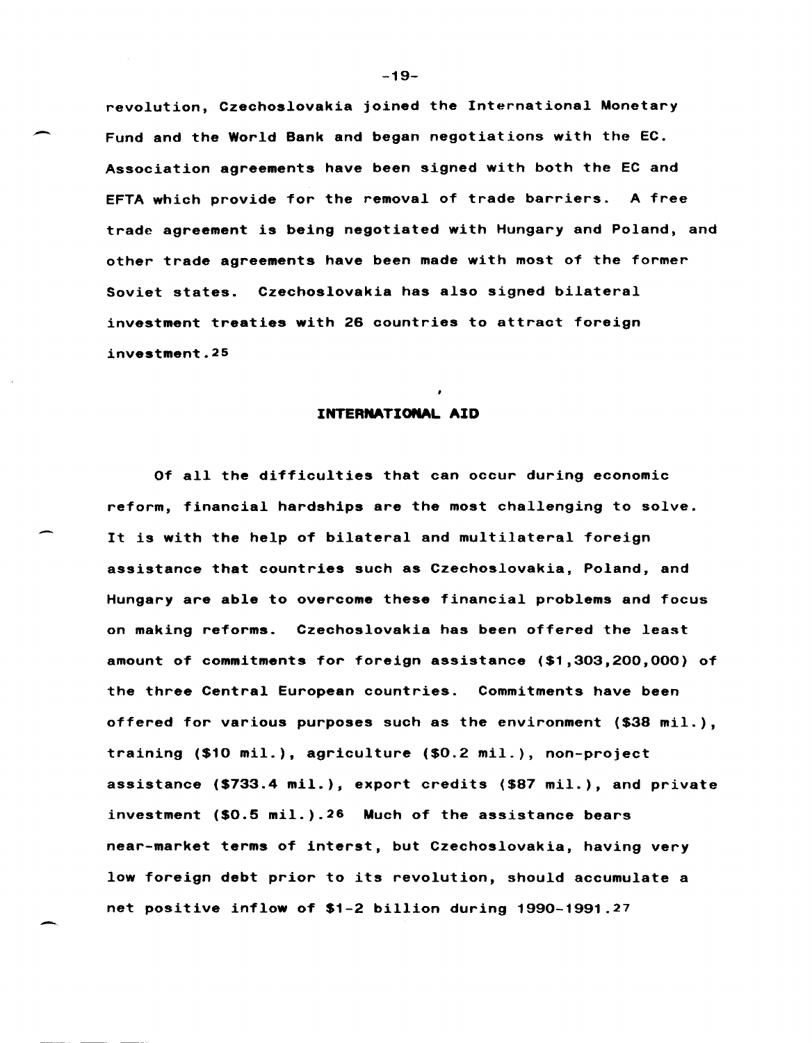revolution, Czechoslovakia joined the International Monetary Fund and the World Bank and began negotiations with the EC. Association agreements have been signed with both the EC and EFTA which provide for the removal of trade barriers. A free trade agreement is being negotiated with Hungary and Poland, and other trade agreements have been made with most of the former Soviet states. Czechoslovakia has also signed bilateral investment treaties with 26 countries to attract foreign investment.25

### **INTERNATIONAL AID**

Of all the difficulties that can occur during economic reform, financial hardships are the most challenging to solve. It is with the help of bilateral and multilateral foreign assistance that countries such as Czechoslovakia, Poland, and Hungary are able to overcome these financial problems and focus on making reforms. Czechoslovakia has been offered the least amount of commitments for foreign assistance (\$1,303,200,000) of the three Central European countries. Commitments have been offered for various purposes such as the environment (\$38 mil.), training (\$10 mil.), agriculture (\$0.2 mil.), non-project assistance (\$733.4 mil.), export credits (\$87 mil.), and private investment (\$0.5 mil.).26 Much of the assistance bears near-market terms of interst, but Czechoslovakia, having very low foreign debt prior to its revolution, should accumulate a net positive inflow of \$1-2 billion during 1990-1991.27

-19-

-

-.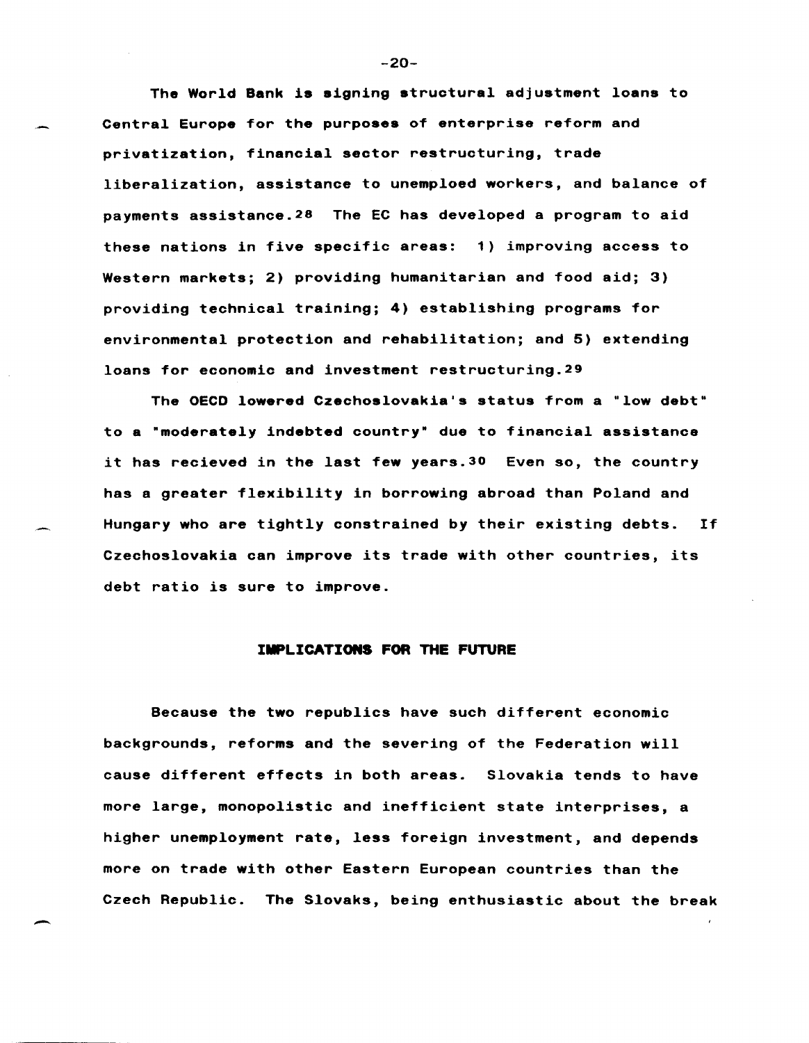The World Bank is signing structural adjustment loans to Central Europe for the purposes of enterprise reform and privatization, financial sector restructuring, trade liberalization, assistance to unemploed workers, and balance of payments assistance. 28 The EC has developed a program to aid these nations in five specific areas: 1) improving access to Western markets; 2) providing humanitarian and food aid; 3) providing technical training; 4) establishing programs for environmental protection and rehabilitation; and 5) extending loans for economic and investment restructuring. 29

The OECD lowered Czechoslovakia's status from a "low debt" to a "moderately indebted country· due to financial assistance it has recieved in the last few years. 3D Even so, the country has a greater flexibility in borrowing abroad than Poland and Hungary who are tightly constrained by their existing debts. If Czechoslovakia can improve its trade with other countries, its debt ratio is sure to improve.

#### IMPLICATIONS FOR THE FUTURE

Because the two republics have such different economic backgrounds, reforms and the severing of the Federation will cause different effects in both areas. Slovakia tends to have more large, monopolistic and inefficient state interprises, a higher unemployment rate, less foreign investment, and depends more on trade with other Eastern European countries than the Czech Republic. The Slovaks, being enthusiastic about the break

-

-20-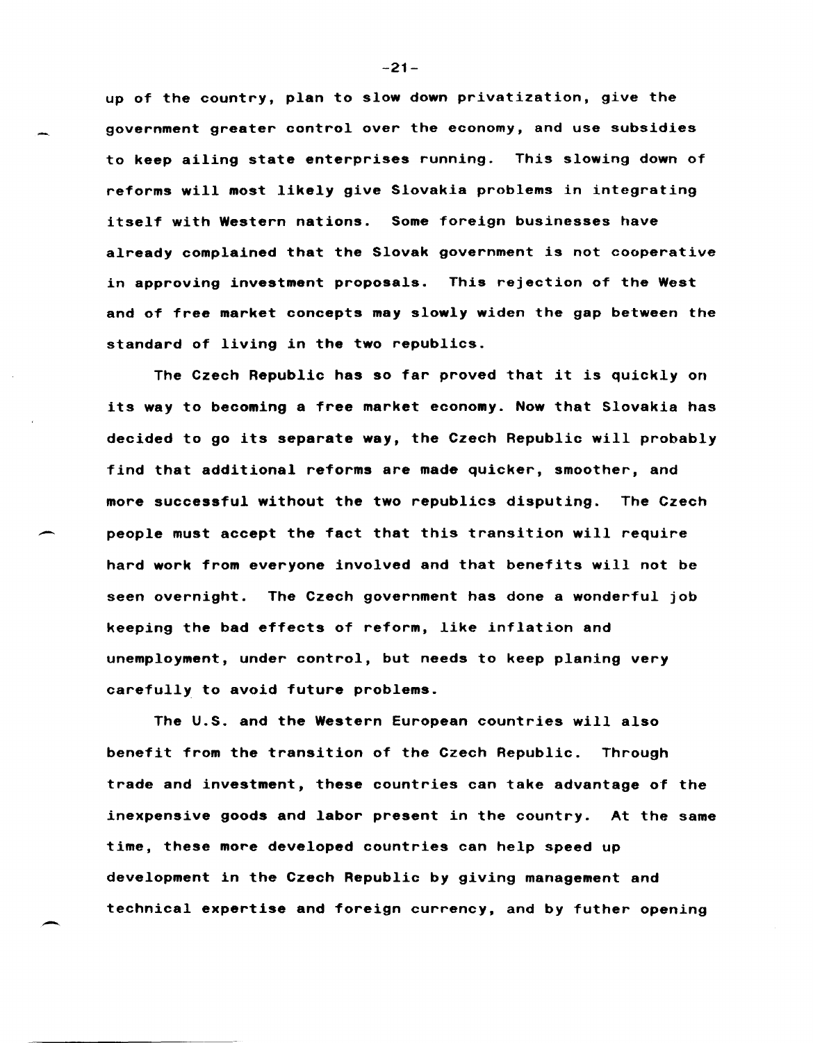up of the country, plan to slow down privatization, give the government greater control over the economy, and use subsidies to keep ailing state enterprises running. This slowing down of reforms will most likely give Slovakia problems *in* integrating itself with Western nations. Some foreign businesses have already complained that the Slovak government is not cooperative in approving investment proposals. This rejection of the West and of free market concepts may slowly widen the gap between the standard of living in the two republics.

The Czech Republic has so far proved that it is quickly on its way to becoming a free market economy. Now that Slovakia has decided to go its separate way, the Czech Republic will probably find that additional reforms are made quicker, smoother, and more successful without the two republics disputing. The Czech people must accept the fact that this transition will require hard work from everyone involved and that benefits will not be seen overnight. The Czech government has done a wonderful job keeping the bad effects of reform, like inflation and unemployment, under control, but needs to keep planing very carefully to avoid future problems.

The U.S. and the Western European countries will also benefit from the transition of the Czech Republic. Through trade and investment, these countries can take advantage of the inexpensive goods and labor present in the country. At the same time, these more developed countries can help speed up development in the Czech Republic by giving management and technical expertise and foreign currency, and by futher opening

-

-21-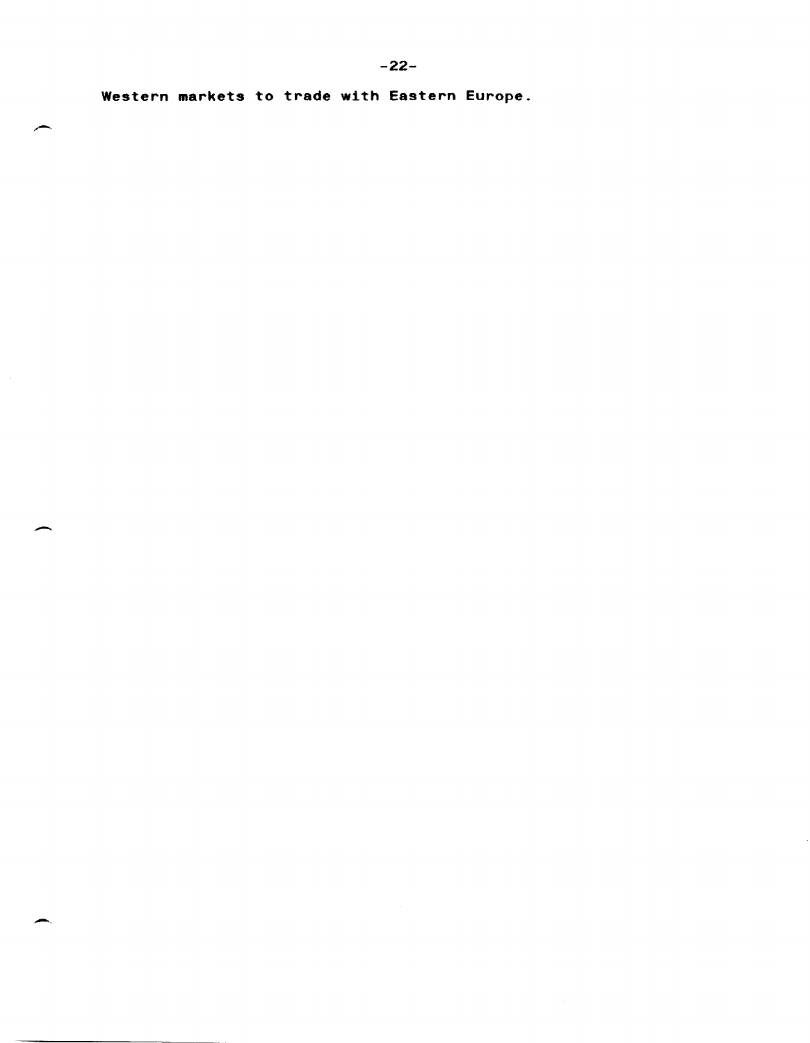Western markets to trade with Eastern Europe.

-

 $\overline{\phantom{0}}$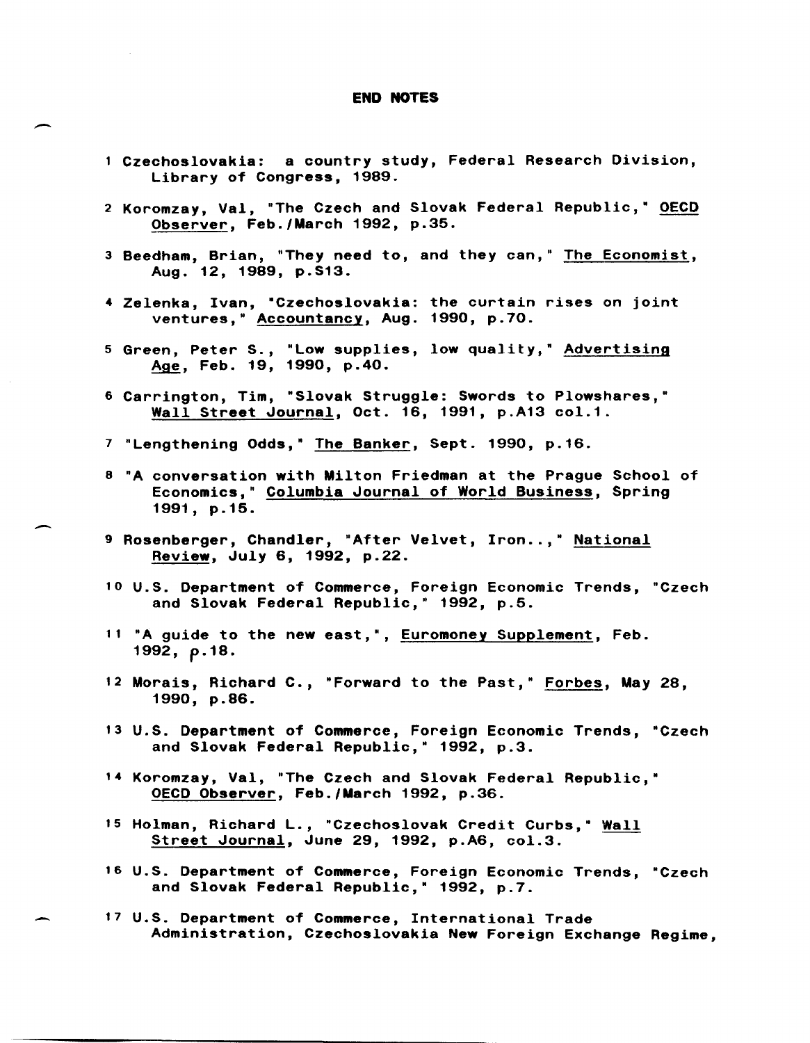#### END NOTES

- Czechoslovakia: a country study, Federal Research Division, Library of Congress, 1989.
- 2 Koromzay, Val, "The Czech and Slovak Federal Republic," OECD Observer, Feb./March 1992, p.35.
- 3 Beedham, Brian, "They need to, and they can," The Economist, Aug. 12, 1989, p.S13.
- 4 Zelenka, Ivan, "Czechoslovakia: the curtain rises on joint ventures," Accountancy, Aug. 1990, p.70.
- 5 Green, Peter S., "Low supplies, low quality," Advertising Age, Feb. 19, 1990, p.40.
- 6 Carrington, Tim, "Slovak Struggle: Swords to Plowshares,· Wall Street Journal, Oct. 16, 1991, p.A13 col.1.
- 7 "Lengthening Odds," The Banker, Sept. 1990, p.16.
- 8 "A conversation with Milton Friedman at the Prague School of Economics," Columbia Journal of World Business, Spring 1991, p.15.
- 9 Rosenberger, Chandler, "After Velvet, Iron..." National Review, July 6, 1992, p.22.
- 10 U.S. Department of Commerce, Foreign Economic Trends, "Czech and Slovak Federal Republic," 1992, p.5.
- <sup>11</sup>"A guide to the new east,", Euromoney Supplement, Feb. *1992, p.18.*
- 12 Morais, Richard C., "Forward to the Past," Forbes, May 28, 1990, p.86.
- 13 U.S. Department of Commerce, Foreign Economic Trends, "Czech and Slovak Federal Republic," 1992, p.3.
- 14 Koromzay, Val, "The Czech and Slovak Federal Republic,· OECD Observer, Feb./March 1992, p.36.
- 15 Holman, Richard L., "Czechoslovak Credit Curbs,· Wall Street Journal, June 29, 1992, p.A6, col.3.
- 16 U.S. Department of Commerce, Foreign Economic Trends, "Czech and Slovak Federal Republic," 1992, p.7.
- 17 U.S. Department of Commerce, International Trade Administration, Czechoslovakia New Foreign Exchange Regime,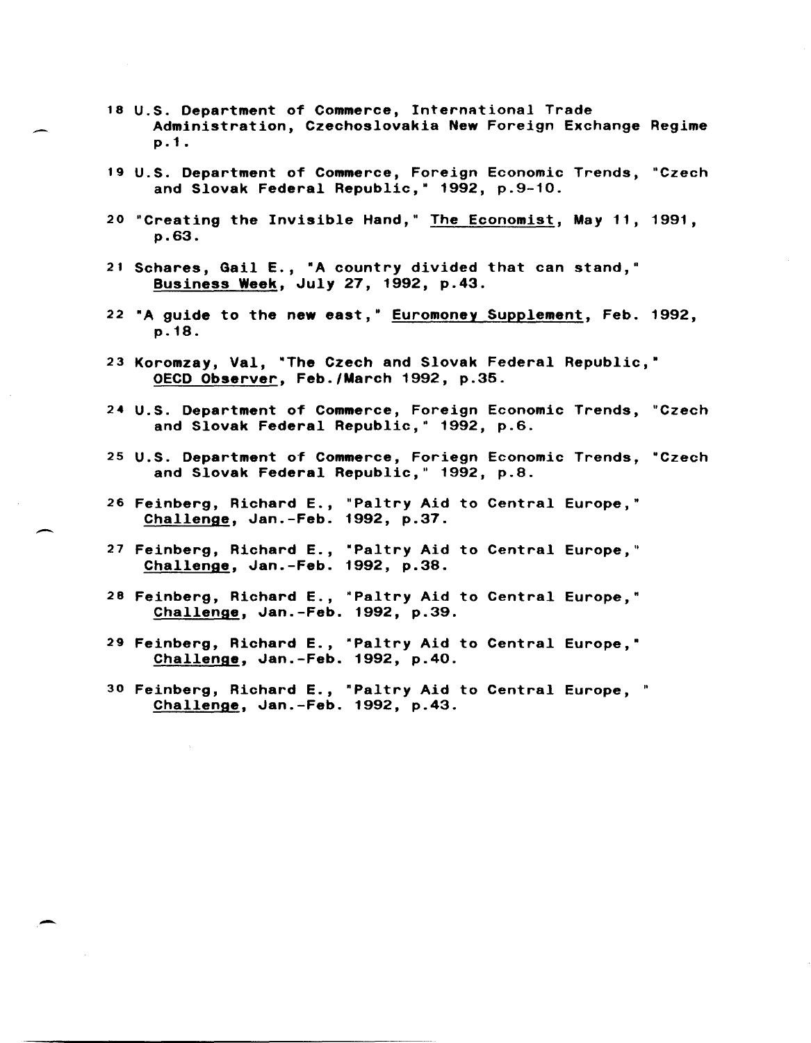- <sup>18</sup>U.S. Department of Commerce, International Trade Administration, Czechoslovakia New Foreign Exchange Regime p.1.
- 19 U.S. Department of Commerce, Foreign Economic Trends, "Czech and Slovak Federal Republic," 1992, p.9-10.
- 20 "Creating the Invisible Hand," The Economist, May 11, 1991, p.63.
- 21 Schares, Gail E., "A country divided that can stand," Business Week, July 27, 1992, p.43.
- 22 "A guide to the new east," Euromoney Supplement, Feb. 1992, p.18.
- 23 Koromzay, Val, "The Czech and Slovak Federal Republic," OECD Observer, Feb./March 1992, p.35.
- 24 U.S. Department of Commerce, Foreign Economic Trends, "Czech and Slovak Federal Republic," 1992, p.6.
- 25 U.S. Department of Commerce, Foriegn Economic Trends, "Czech and Slovak Federal Republic," 1992, p.8.
- 26 Feinberg, Richard E., "Paltry Aid to Central Europe," Challenge, Jan.-Feb. 1992, p.37.
- 27 Feinberg, Richard E., "Paltry Aid to Central Europe," Challenge, Jan.-Feb. 1992, p.38.
- 28 Feinberg, Richard E., "Paltry Aid to Central Europe," Challenge, Jan.-Feb. 1992, p.39.
- <sup>29</sup>Feinberg, Richard E., "Paltry Aid to Central Europe,· Challenge, Jan.-Feb. 1992, p.40.
- 30 Feinberg, Richard E., "Paltry Aid to Central Europe, " Challenge, Jan.-Feb. 1992, p.43.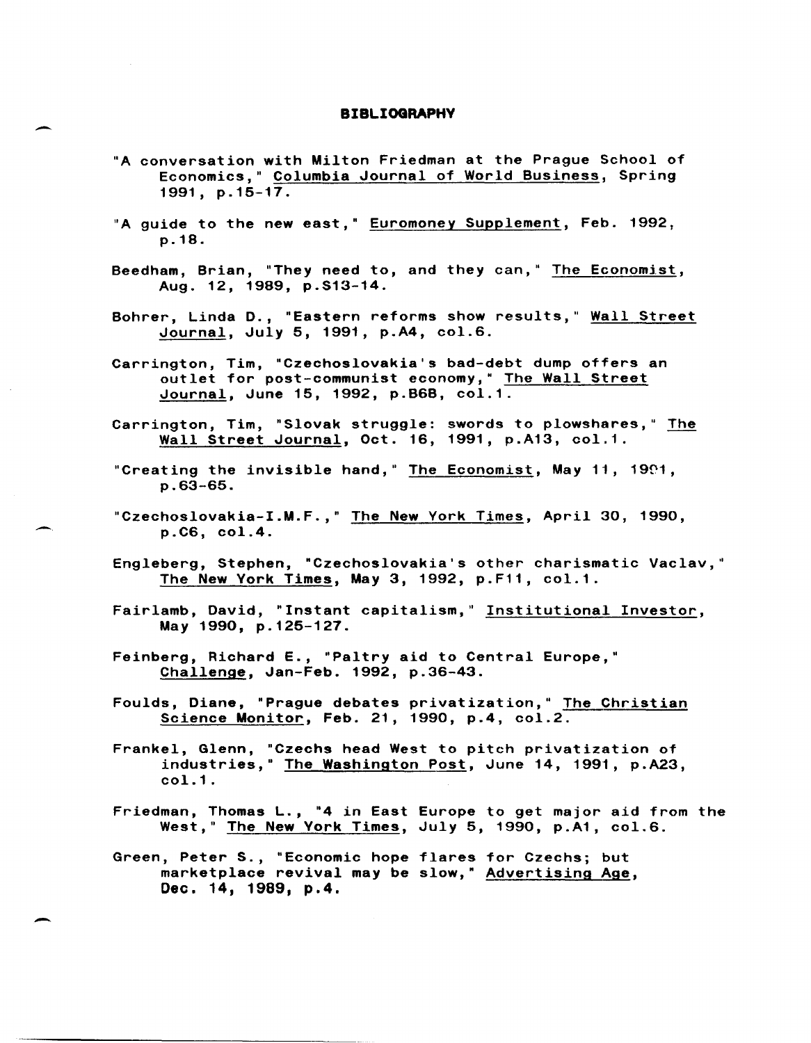#### **BIBLIOGRAPHV**

- "A conversation with Milton Friedman at the Prague School of Economics," Columbia Journal of World Business, Spring 1991, p.15-17.
- "A guide to the new east," Euromoney Supplement, Feb. 1992, p.18.
- Beedham, Brian, "They need to, and they can," The Economist, Aug. 12, 1989, p.S13-14.
- Bohrer, Linda D., "Eastern reforms show results," Wall Street Journal, July 5, 1991, p.A4, col.6.
- Carrington, Tim, "Czechoslovakia's bad-debt dump offers an outlet for post-communist economy," The Wall Street Journal, June 15, 1992, p.B6B, col.1.
- Carrington, Tim, "Slovak struggle: swords to plowshares," The Wall Street Journal, Oct. 16, 1991, p.A13, col.1.
- "Creating the invisible hand," The Economist, May 11, 1991, p.63-65.
- "Czechoslovakia-I.M.F.," The New York Times, April 30, 1990, p.C6, col.4.
- Engleberg, Stephen, "Czechoslovakia's other charismatic Vaclav," The New York Times, May 3, 1992, p.F11, col.1.
- Fairlamb, David, "Instant capitalism," Institutional Investor, May 1990, p.125-127.
- Feinberg, Richard E., "Paltry aid to Central Europe," Challenge, Jan-Feb. 1992, p.36-43.
- Foulds, Diane, "Prague debates privatization," The Christian Science Monitor, Feb. 21, 1990, p.4, col.2.
- Frankel, Glenn, "Czechs head West to pitch privatization of industries," The Washington Post, June 14, 1991, p.A23, col.1.
- Friedman, Thomas L., "4 in East Europe to get major aid from the West," The New York Times, July 5, 1990, p.A1, col.6.
- Green, Peter S., "Economic hope flares for Czechs; but marketplace revival may be slow," Advertising Age, Dec. 14, 1989, p.4.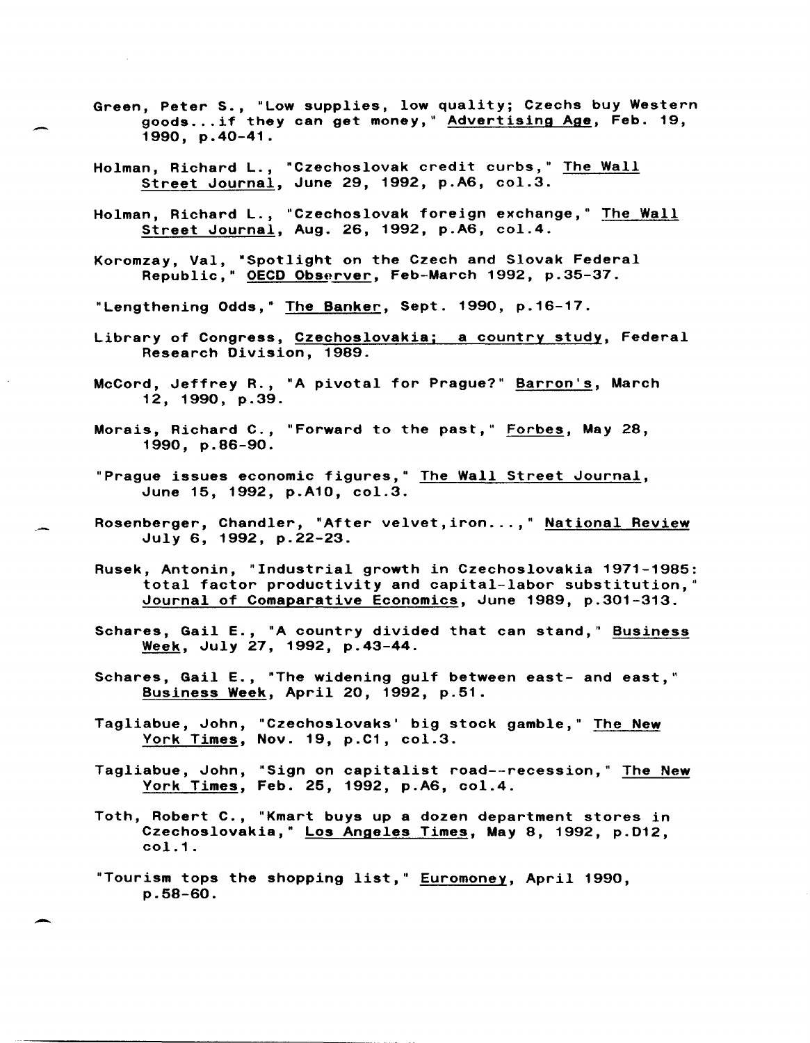- Green, Peter S., "Low supplies, low quality; Czechs buy Western goods ... if they can get money," Advertising Age, Feb. 19, 1990, p.40-41.
- Holman, Richard L., "Czechoslovak credit curbs," The Wall Street Journal, June 29, 1992, p.A6, col.3.
- Holman, Richard L., "Czechoslovak foreign exchange," The Wall Street Journal, Aug. 26, 1992, p.A6, col.4.
- Koromzay, Val, ·Spotlight on the Czech and Slovak Federal Republic," OECD Observer, Feb-March 1992, p.35-37.
- "Lengthening Odds," The Banker, Sept. 1990, p.16-17.
- Library of Congress, Czechoslovakia; a country study, Federal Research Division, 1989.
- McCord, Jeffrey R., "A pivotal for Prague?" Barron's, March 12, 1990, p.39.
- Morais, Richard C., "Forward to the past," Forbes, May 28, 1990, p.86-90.
- "Prague issues economic figures," The Wall Street Journal, June 15, 1992, p.A10, col.3.
- Rosenberger, Chandler, "After velvet, iron...," National Review July 6, 1992, p.22-23.
- Rusek, Antonin, "Industrial growth in Czechoslovakia 1971-1985: total factor productivity and capital-labor substitution," Journal of Comaparative Economics, June 1989, p.301-313.
- Schares, Gail E., "A country divided that can stand," Business Week, July 27, 1992, p.43-44.
- Schares, Gail E., "The widening gulf between east- and east," Business Week, April 20, 1992, p.51.
- Tagliabue, John, "Czechoslovaks' big stock gamble," The New York Times, Nov. 19, p.C1, col.3.
- Tagliabue, John, "Sign on capitalist road--recession," The New York Times, Feb. 25, 1992, p.A6, col.4.
- Toth, Robert C., "Kmart buys up a dozen department stores in Czechoslovakia," Los Angeles Times, May 8, 1992, p.D12, col.1.
- "Tourism tops the shopping list," Euromoney, April 1990, p.58-60.